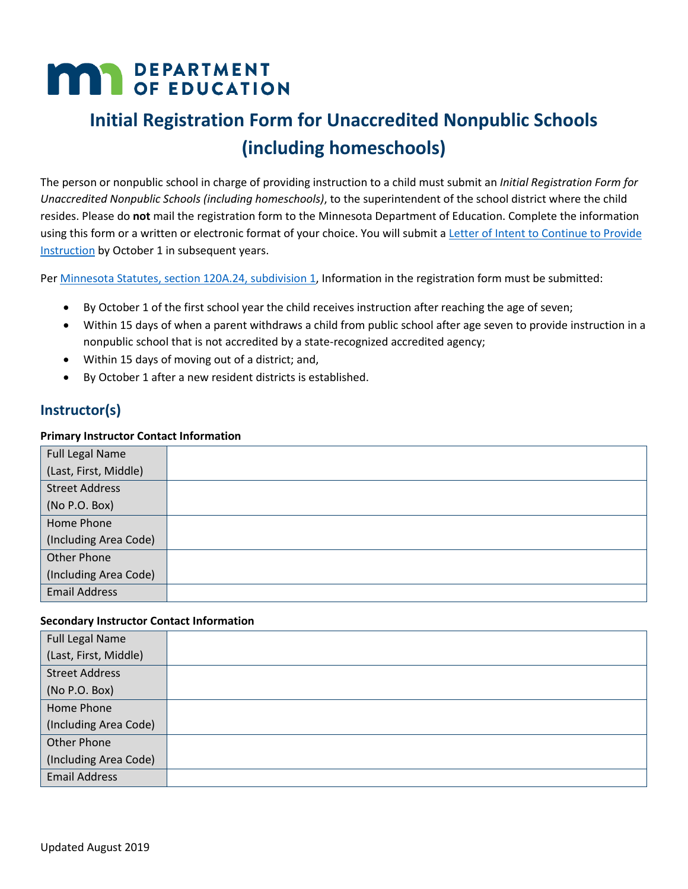# **MAR** DEPARTMENT

## **Initial Registration Form for Unaccredited Nonpublic Schools (including homeschools)**

 The person or nonpublic school in charge of providing instruction to a child must submit an *Initial Registration Form for*  using this form or a written or electronic format of your choice. You will submit a Letter of Intent to Continue to Provide [Instruction](https://education.mn.gov/MDE/fam/nphs/nonp/) by October 1 in subsequent years. *Unaccredited Nonpublic Schools (including homeschools)*, to the superintendent of the school district where the child resides. Please do **not** mail the registration form to the Minnesota Department of Education. Complete the information

Pe[r Minnesota Statutes, section 120A.24, subdivision 1,](https://www.revisor.mn.gov/statutes/cite/120A.24) Information in the registration form must be submitted:

- By October 1 of the first school year the child receives instruction after reaching the age of seven;
- • Within 15 days of when a parent withdraws a child from public school after age seven to provide instruction in a nonpublic school that is not accredited by a state-recognized accredited agency;
- Within 15 days of moving out of a district; and,
- By October 1 after a new resident districts is established.

#### **Instructor(s)**

#### **Primary Instructor Contact Information**

| <b>Full Legal Name</b> |  |
|------------------------|--|
| (Last, First, Middle)  |  |
| <b>Street Address</b>  |  |
| (No P.O. Box)          |  |
| Home Phone             |  |
| (Including Area Code)  |  |
| Other Phone            |  |
| (Including Area Code)  |  |
| <b>Email Address</b>   |  |

#### **Secondary Instructor Contact Information**

| <b>Full Legal Name</b> |  |
|------------------------|--|
| (Last, First, Middle)  |  |
| <b>Street Address</b>  |  |
| (No P.O. Box)          |  |
| Home Phone             |  |
| (Including Area Code)  |  |
| Other Phone            |  |
| (Including Area Code)  |  |
| <b>Email Address</b>   |  |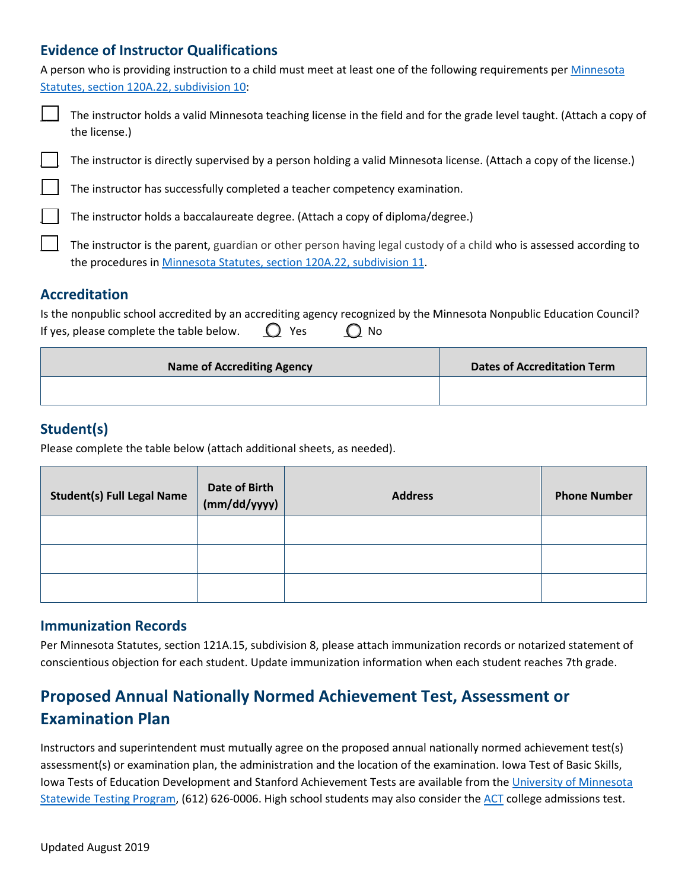#### **Evidence of Instructor Qualifications**

A person who is providing instruction to a child must meet at least one of the following requirements per *Minnesota* [Statutes, section 120A.22, subdivision 10:](https://www.revisor.mn.gov/statutes/cite/120A.22)

| The instructor holds a valid Minnesota teaching license in the field and for the grade level taught. (Attach a copy of<br>the license.)                                                       |
|-----------------------------------------------------------------------------------------------------------------------------------------------------------------------------------------------|
| The instructor is directly supervised by a person holding a valid Minnesota license. (Attach a copy of the license.)                                                                          |
| The instructor has successfully completed a teacher competency examination.                                                                                                                   |
| The instructor holds a baccalaureate degree. (Attach a copy of diploma/degree.)                                                                                                               |
| The instructor is the parent, guardian or other person having legal custody of a child who is assessed according to<br>the procedures in Minnesota Statutes, section 120A.22, subdivision 11. |

#### **Accreditation**

|                                                                       | Is the nonpublic school accredited by an accrediting agency recognized by the Minnesota Nonpublic Education Council? |
|-----------------------------------------------------------------------|----------------------------------------------------------------------------------------------------------------------|
| If yes, please complete the table below. $\bigcirc$ Yes $\bigcirc$ No |                                                                                                                      |

| <b>Dates of Accreditation Term</b> |
|------------------------------------|
|                                    |
|                                    |

#### **Student(s)**

Please complete the table below (attach additional sheets, as needed).

| <b>Student(s) Full Legal Name</b> | <b>Date of Birth</b><br>(mm/dd/yyyy) | <b>Address</b> | <b>Phone Number</b> |
|-----------------------------------|--------------------------------------|----------------|---------------------|
|                                   |                                      |                |                     |
|                                   |                                      |                |                     |
|                                   |                                      |                |                     |

#### **Immunization Records**

 Per Minnesota Statutes, section 121A.15, subdivision 8, please attach immunization records or notarized statement of conscientious objection for each student. Update immunization information when each student reaches 7th grade.

### **Proposed Annual Nationally Normed Achievement Test, Assessment or Examination Plan**

Iowa Tests of Education Development and Stanford Achievement Tests are available from the University of Minnesota Instructors and superintendent must mutually agree on the proposed annual nationally normed achievement test(s) assessment(s) or examination plan, the administration and the location of the examination. Iowa Test of Basic Skills, [Statewide Testing Program,](https://oms.umn.edu/departments/mstp/about.php) (612) 626-0006. High school students may also consider th[e ACT](http://www.act.org/content/act/en/products-and-services/the-act.html) college admissions test.